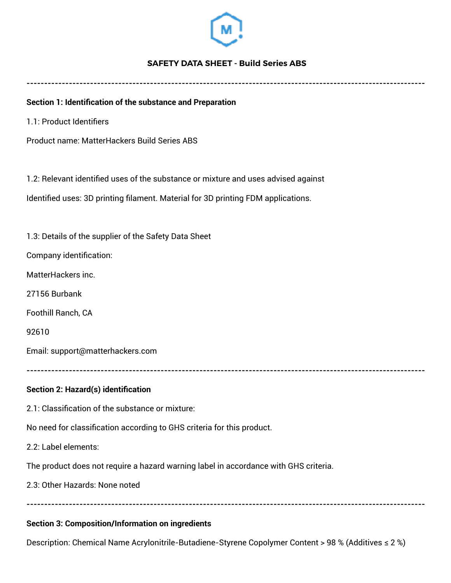

## **SAFETY DATA SHEET - Build Series ABS**

**-----------------------------------------------------------------------------------------------------------------** 

## **Section 1: Identification of the substance and Preparation**

1.1: Product Identifiers

Product name: MatterHackers Build Series ABS

1.2: Relevant identified uses of the substance or mixture and uses advised against

Identified uses: 3D printing filament. Material for 3D printing FDM applications.

1.3: Details of the supplier of the Safety Data Sheet

Company identification:

MatterHackers inc.

27156 Burbank

Foothill Ranch, CA

92610

Email: support@matterhackers.com

**-----------------------------------------------------------------------------------------------------------------**

### **Section 2: Hazard(s) identification**

2.1: Classification of the substance or mixture:

No need for classification according to GHS criteria for this product.

2.2: Label elements:

The product does not require a hazard warning label in accordance with GHS criteria.

2.3: Other Hazards: None noted

**-----------------------------------------------------------------------------------------------------------------**

#### **Section 3: Composition/Information on ingredients**

Description: Chemical Name Acrylonitrile-Butadiene-Styrene Copolymer Content > 98 % (Additives ≤ 2 %)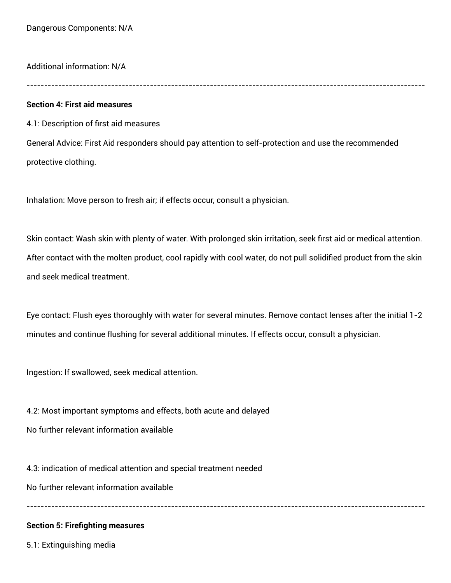Additional information: N/A

**-----------------------------------------------------------------------------------------------------------------**

### **Section 4: First aid measures**

4.1: Description of first aid measures

General Advice: First Aid responders should pay attention to self-protection and use the recommended protective clothing.

Inhalation: Move person to fresh air; if effects occur, consult a physician.

Skin contact: Wash skin with plenty of water. With prolonged skin irritation, seek first aid or medical attention. After contact with the molten product, cool rapidly with cool water, do not pull solidified product from the skin and seek medical treatment.

Eye contact: Flush eyes thoroughly with water for several minutes. Remove contact lenses after the initial 1-2 minutes and continue flushing for several additional minutes. If effects occur, consult a physician.

**-----------------------------------------------------------------------------------------------------------------**

Ingestion: If swallowed, seek medical attention.

4.2: Most important symptoms and effects, both acute and delayed No further relevant information available

4.3: indication of medical attention and special treatment needed No further relevant information available

## **Section 5: Firefighting measures**

5.1: Extinguishing media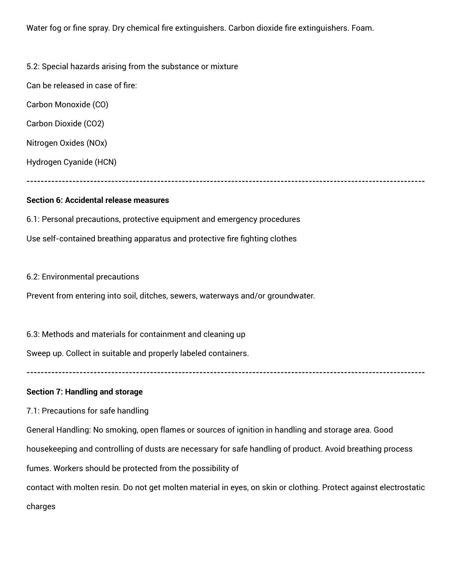Water fog or fine spray. Dry chemical fire extinguishers. Carbon dioxide fire extinguishers. Foam.

5.2: Special hazards arising from the substance or mixture

Can be released in case of fire:

Carbon Monoxide (CO)

Carbon Dioxide (CO2)

Nitrogen Oxides (NOx)

Hydrogen Cyanide (HCN)

**-----------------------------------------------------------------------------------------------------------------**

## **Section 6: Accidental release measures**

6.1: Personal precautions, protective equipment and emergency procedures Use self-contained breathing apparatus and protective fire fighting clothes

6.2: Environmental precautions

Prevent from entering into soil, ditches, sewers, waterways and/or groundwater.

6.3: Methods and materials for containment and cleaning up

Sweep up. Collect in suitable and properly labeled containers.

**-----------------------------------------------------------------------------------------------------------------**

## **Section 7: Handling and storage**

7.1: Precautions for safe handling

General Handling: No smoking, open flames or sources of ignition in handling and storage area. Good

housekeeping and controlling of dusts are necessary for safe handling of product. Avoid breathing process

fumes. Workers should be protected from the possibility of

contact with molten resin. Do not get molten material in eyes, on skin or clothing. Protect against electrostatic charges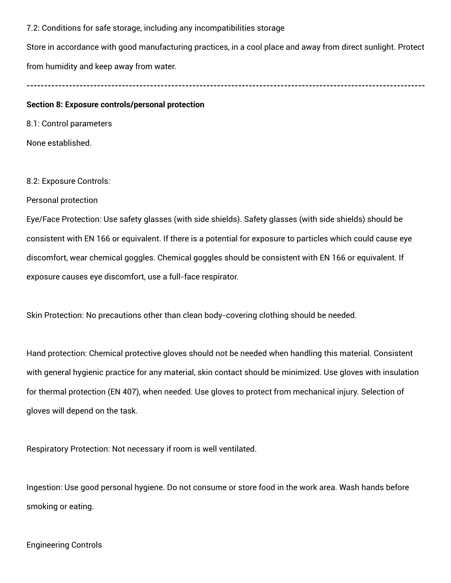7.2: Conditions for safe storage, including any incompatibilities storage

Store in accordance with good manufacturing practices, in a cool place and away from direct sunlight. Protect from humidity and keep away from water.

**-----------------------------------------------------------------------------------------------------------------**

#### **Section 8: Exposure controls/personal protection**

8.1: Control parameters

None established.

8.2: Exposure Controls:

Personal protection

Eye/Face Protection: Use safety glasses (with side shields). Safety glasses (with side shields) should be consistent with EN 166 or equivalent. If there is a potential for exposure to particles which could cause eye discomfort, wear chemical goggles. Chemical goggles should be consistent with EN 166 or equivalent. If exposure causes eye discomfort, use a full-face respirator.

Skin Protection: No precautions other than clean body-covering clothing should be needed.

Hand protection: Chemical protective gloves should not be needed when handling this material. Consistent with general hygienic practice for any material, skin contact should be minimized. Use gloves with insulation for thermal protection (EN 407), when needed. Use gloves to protect from mechanical injury. Selection of gloves will depend on the task.

Respiratory Protection: Not necessary if room is well ventilated.

Ingestion: Use good personal hygiene. Do not consume or store food in the work area. Wash hands before smoking or eating.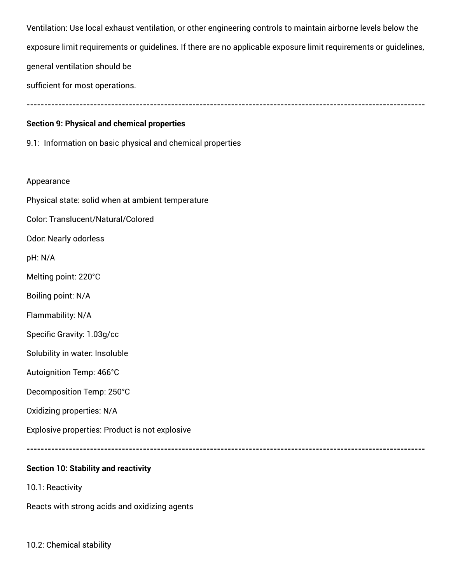Ventilation: Use local exhaust ventilation, or other engineering controls to maintain airborne levels below the exposure limit requirements or guidelines. If there are no applicable exposure limit requirements or guidelines, general ventilation should be

sufficient for most operations.

**-----------------------------------------------------------------------------------------------------------------**

# **Section 9: Physical and chemical properties**

9.1: Information on basic physical and chemical properties

## Appearance

Physical state: solid when at ambient temperature

Color: Translucent/Natural/Colored

Odor: Nearly odorless

pH: N/A

Melting point: 220°C

Boiling point: N/A

Flammability: N/A

Specific Gravity: 1.03g/cc

Solubility in water: Insoluble

Autoignition Temp: 466°C

Decomposition Temp: 250°C

Oxidizing properties: N/A

Explosive properties: Product is not explosive

**-----------------------------------------------------------------------------------------------------------------**

# **Section 10: Stability and reactivity**

10.1: Reactivity

Reacts with strong acids and oxidizing agents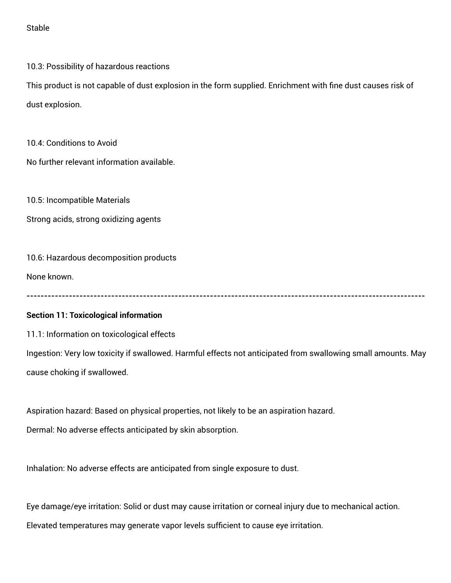Stable

10.3: Possibility of hazardous reactions

This product is not capable of dust explosion in the form supplied. Enrichment with fine dust causes risk of dust explosion.

10.4: Conditions to Avoid

No further relevant information available.

10.5: Incompatible Materials

Strong acids, strong oxidizing agents

10.6: Hazardous decomposition products

None known.

**-----------------------------------------------------------------------------------------------------------------**

### **Section 11: Toxicological information**

11.1: Information on toxicological effects

Ingestion: Very low toxicity if swallowed. Harmful effects not anticipated from swallowing small amounts. May cause choking if swallowed.

Aspiration hazard: Based on physical properties, not likely to be an aspiration hazard.

Dermal: No adverse effects anticipated by skin absorption.

Inhalation: No adverse effects are anticipated from single exposure to dust.

Eye damage/eye irritation: Solid or dust may cause irritation or corneal injury due to mechanical action. Elevated temperatures may generate vapor levels sufficient to cause eye irritation.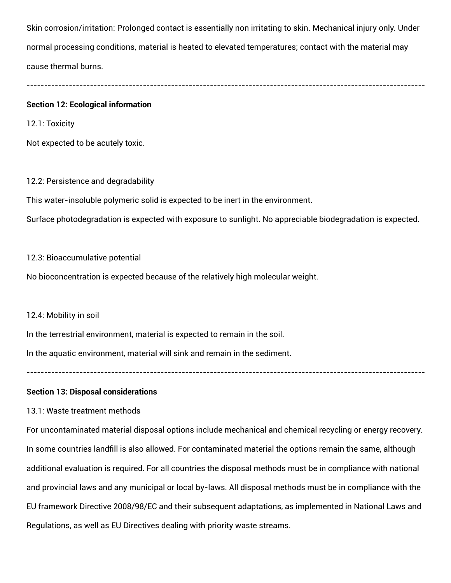Skin corrosion/irritation: Prolonged contact is essentially non irritating to skin. Mechanical injury only. Under normal processing conditions, material is heated to elevated temperatures; contact with the material may cause thermal burns.

# **-----------------------------------------------------------------------------------------------------------------**

#### **Section 12: Ecological information**

12.1: Toxicity

Not expected to be acutely toxic.

#### 12.2: Persistence and degradability

This water-insoluble polymeric solid is expected to be inert in the environment.

Surface photodegradation is expected with exposure to sunlight. No appreciable biodegradation is expected.

#### 12.3: Bioaccumulative potential

No bioconcentration is expected because of the relatively high molecular weight.

#### 12.4: Mobility in soil

In the terrestrial environment, material is expected to remain in the soil.

In the aquatic environment, material will sink and remain in the sediment.

**-----------------------------------------------------------------------------------------------------------------**

### **Section 13: Disposal considerations**

### 13.1: Waste treatment methods

For uncontaminated material disposal options include mechanical and chemical recycling or energy recovery. In some countries landfill is also allowed. For contaminated material the options remain the same, although additional evaluation is required. For all countries the disposal methods must be in compliance with national and provincial laws and any municipal or local by-laws. All disposal methods must be in compliance with the EU framework Directive 2008/98/EC and their subsequent adaptations, as implemented in National Laws and Regulations, as well as EU Directives dealing with priority waste streams.